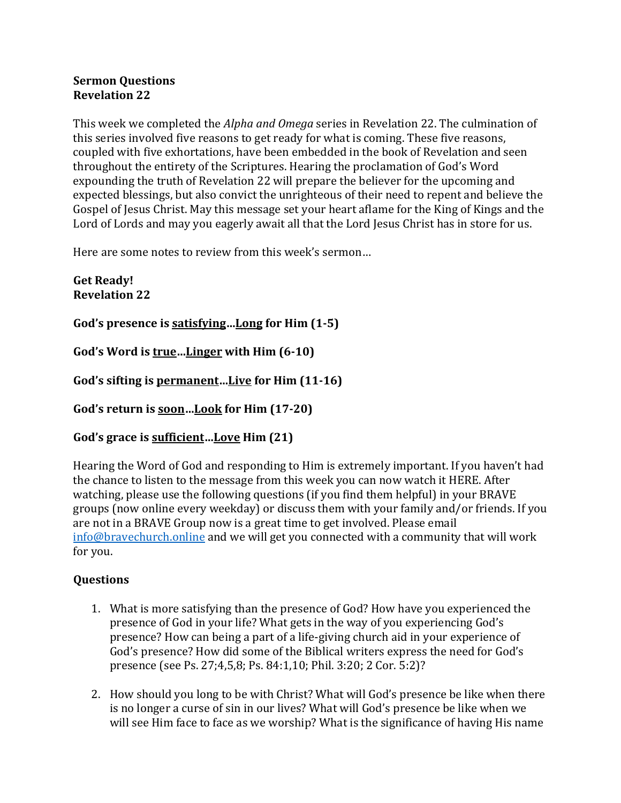## **Sermon Questions Revelation 22**

This week we completed the *Alpha and Omega* series in Revelation 22. The culmination of this series involved five reasons to get ready for what is coming. These five reasons, coupled with five exhortations, have been embedded in the book of Revelation and seen throughout the entirety of the Scriptures. Hearing the proclamation of God's Word expounding the truth of Revelation 22 will prepare the believer for the upcoming and expected blessings, but also convict the unrighteous of their need to repent and believe the Gospel of Jesus Christ. May this message set your heart aflame for the King of Kings and the Lord of Lords and may you eagerly await all that the Lord Jesus Christ has in store for us.

Here are some notes to review from this week's sermon...

**Get Ready! Revelation 22**

God's presence is satisfying...Long for Him (1-5)

God's Word is true...Linger with Him (6-10)

God's sifting is permanent...Live for Him (11-16)

God's return is soon...Look for Him (17-20)

## God's grace is sufficient...Love Him  $(21)$

Hearing the Word of God and responding to Him is extremely important. If you haven't had the chance to listen to the message from this week you can now watch it HERE. After watching, please use the following questions (if you find them helpful) in your BRAVE groups (now online every weekday) or discuss them with your family and/or friends. If you are not in a BRAVE Group now is a great time to get involved. Please email  $info@bravechurch online$  and we will get you connected with a community that will work for you.

## **Questions**

- 1. What is more satisfying than the presence of God? How have you experienced the presence of God in your life? What gets in the way of you experiencing God's presence? How can being a part of a life-giving church aid in your experience of God's presence? How did some of the Biblical writers express the need for God's presence (see Ps. 27;4,5,8; Ps. 84:1,10; Phil. 3:20; 2 Cor. 5:2)?
- 2. How should you long to be with Christ? What will God's presence be like when there is no longer a curse of sin in our lives? What will God's presence be like when we will see Him face to face as we worship? What is the significance of having His name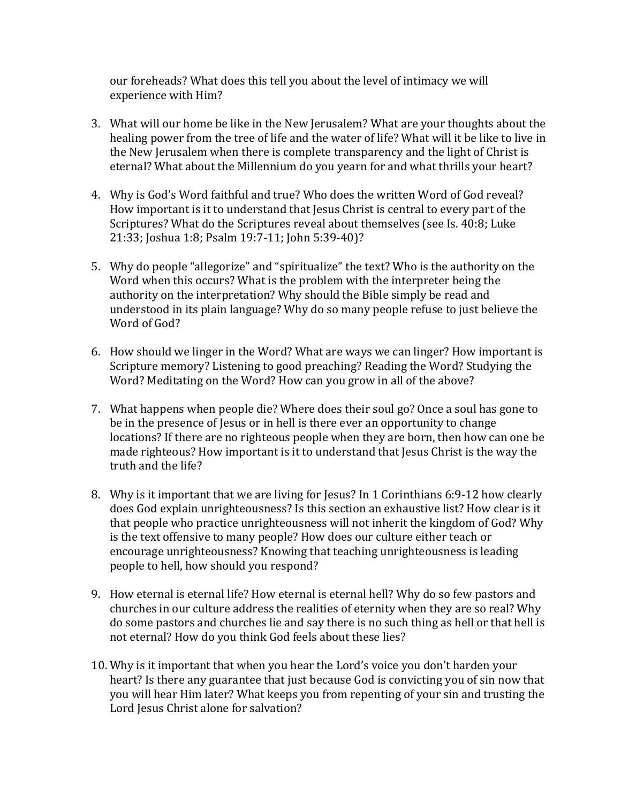our foreheads? What does this tell you about the level of intimacy we will experience with Him?

- 3. What will our home be like in the New Jerusalem? What are your thoughts about the healing power from the tree of life and the water of life? What will it be like to live in the New Jerusalem when there is complete transparency and the light of Christ is eternal? What about the Millennium do you yearn for and what thrills your heart?
- 4. Why is God's Word faithful and true? Who does the written Word of God reveal? How important is it to understand that Jesus Christ is central to every part of the Scriptures? What do the Scriptures reveal about themselves (see Is. 40:8; Luke 21:33; Joshua 1:8; Psalm 19:7-11; John 5:39-40)?
- 5. Why do people "allegorize" and "spiritualize" the text? Who is the authority on the Word when this occurs? What is the problem with the interpreter being the authority on the interpretation? Why should the Bible simply be read and understood in its plain language? Why do so many people refuse to just believe the Word of God?
- 6. How should we linger in the Word? What are ways we can linger? How important is Scripture memory? Listening to good preaching? Reading the Word? Studying the Word? Meditating on the Word? How can you grow in all of the above?
- 7. What happens when people die? Where does their soul go? Once a soul has gone to be in the presence of Jesus or in hell is there ever an opportunity to change locations? If there are no righteous people when they are born, then how can one be made righteous? How important is it to understand that lesus Christ is the way the truth and the life?
- 8. Why is it important that we are living for Jesus? In 1 Corinthians 6:9-12 how clearly does God explain unrighteousness? Is this section an exhaustive list? How clear is it that people who practice unrighteousness will not inherit the kingdom of God? Why is the text offensive to many people? How does our culture either teach or encourage unrighteousness? Knowing that teaching unrighteousness is leading people to hell, how should you respond?
- 9. How eternal is eternal life? How eternal is eternal hell? Why do so few pastors and churches in our culture address the realities of eternity when they are so real? Why do some pastors and churches lie and say there is no such thing as hell or that hell is not eternal? How do you think God feels about these lies?
- 10. Why is it important that when you hear the Lord's voice you don't harden your heart? Is there any guarantee that just because God is convicting you of sin now that you will hear Him later? What keeps you from repenting of your sin and trusting the Lord Jesus Christ alone for salvation?